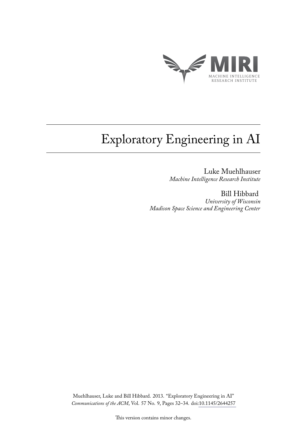

# Exploratory Engineering in AI

Luke Muehlhauser *Machine Intelligence Research Institute*

Bill Hibbard *University of Wisconsin Madison Space Science and Engineering Center*

Muehlhauser, Luke and Bill Hibbard. 2013. "Exploratory Engineering in AI" *Communications of the ACM*, Vol. 57 No. 9, Pages 32–34. doi[:10.1145/2644257](http://dl.acm.org/citation.cfm?doid=2663191.2644257)

This version contains minor changes.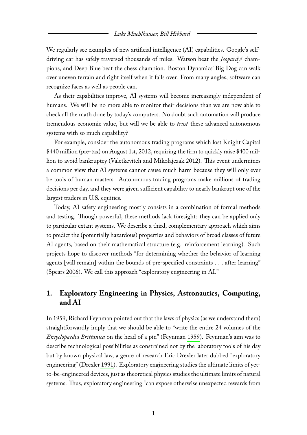We regularly see examples of new artificial intelligence (AI) capabilities. Google's selfdriving car has safely traversed thousands of miles. Watson beat the *Jeopardy!* champions, and Deep Blue beat the chess champion. Boston Dynamics' Big Dog can walk over uneven terrain and right itself when it falls over. From many angles, software can recognize faces as well as people can.

As their capabilities improve, AI systems will become increasingly independent of humans. We will be no more able to monitor their decisions than we are now able to check all the math done by today's computers. No doubt such automation will produce tremendous economic value, but will we be able to *trust* these advanced autonomous systems with so much capability?

For example, consider the autonomous trading programs which lost Knight Capital \$440 million (pre-tax) on August 1st, 2012, requiring the firm to quickly raise \$400 million to avoid bankruptcy (Valetkevitch and Mikolajczak [2012\)](#page-5-0). This event undermines a common view that AI systems cannot cause much harm because they will only ever be tools of human masters. Autonomous trading programs make millions of trading decisions per day, and they were given sufficient capability to nearly bankrupt one of the largest traders in U.S. equities.

Today, AI safety engineering mostly consists in a combination of formal methods and testing. Though powerful, these methods lack foresight: they can be applied only to particular extant systems. We describe a third, complementary approach which aims to predict the (potentially hazardous) properties and behaviors of broad classes of future AI agents, based on their mathematical structure (e.g. reinforcement learning). Such projects hope to discover methods "for determining whether the behavior of learning agents [will remain] within the bounds of pre-specified constraints . . . after learning" (Spears [2006\)](#page-5-1). We call this approach "exploratory engineering in AI."

# **1. Exploratory Engineering in Physics, Astronautics, Computing, and AI**

In 1959, Richard Feynman pointed out that the laws of physics (as we understand them) straightforwardly imply that we should be able to "write the entire 24 volumes of the *Encyclopaedia Brittanica* on the head of a pin" (Feynman [1959\)](#page-5-2). Feynman's aim was to describe technological possibilities as constrained not by the laboratory tools of his day but by known physical law, a genre of research Eric Drexler later dubbed "exploratory engineering" (Drexler [1991\)](#page-5-3). Exploratory engineering studies the ultimate limits of yetto-be-engineered devices, just as theoretical physics studies the ultimate limits of natural systems. Thus, exploratory engineering "can expose otherwise unexpected rewards from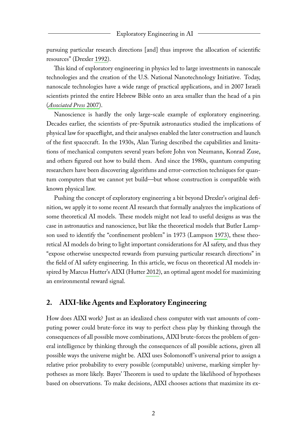pursuing particular research directions [and] thus improve the allocation of scientific resources" (Drexler [1992\)](#page-5-4).

This kind of exploratory engineering in physics led to large investments in nanoscale technologies and the creation of the U.S. National Nanotechnology Initiative. Today, nanoscale technologies have a wide range of practical applications, and in 2007 Israeli scientists printed the entire Hebrew Bible onto an area smaller than the head of a pin (*[Associated Press](#page-5-5)* [2007\)](#page-5-5).

Nanoscience is hardly the only large-scale example of exploratory engineering. Decades earlier, the scientists of pre-Sputnik astronautics studied the implications of physical law for spaceflight, and their analyses enabled the later construction and launch of the first spacecraft. In the 1930s, Alan Turing described the capabilities and limitations of mechanical computers several years before John von Neumann, Konrad Zuse, and others figured out how to build them. And since the 1980s, quantum computing researchers have been discovering algorithms and error-correction techniques for quantum computers that we cannot yet build—but whose construction is compatible with known physical law.

Pushing the concept of exploratory engineering a bit beyond Drexler's original definition, we apply it to some recent AI research that formally analyzes the implications of some theoretical AI models. These models might not lead to useful designs as was the case in astronautics and nanoscience, but like the theoretical models that Butler Lampson used to identify the "confinement problem" in 1973 (Lampson [1973\)](#page-5-6), these theoretical AI models do bring to light important considerations for AI safety, and thus they "expose otherwise unexpected rewards from pursuing particular research directions" in the field of AI safety engineering. In this article, we focus on theoretical AI models inspired by Marcus Hutter's AIXI (Hutter [2012\)](#page-5-7), an optimal agent model for maximizing an environmental reward signal.

## **2. AIXI-like Agents and Exploratory Engineering**

How does AIXI work? Just as an idealized chess computer with vast amounts of computing power could brute-force its way to perfect chess play by thinking through the consequences of all possible move combinations, AIXI brute-forces the problem of general intelligence by thinking through the consequences of all possible actions, given all possible ways the universe might be. AIXI uses Solomonoff 's universal prior to assign a relative prior probability to every possible (computable) universe, marking simpler hypotheses as more likely. Bayes' Theorem is used to update the likelihood of hypotheses based on observations. To make decisions, AIXI chooses actions that maximize its ex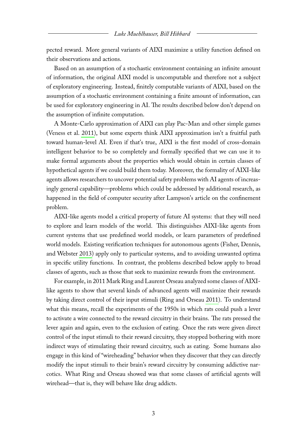pected reward. More general variants of AIXI maximize a utility function defined on their observations and actions.

Based on an assumption of a stochastic environment containing an infinite amount of information, the original AIXI model is uncomputable and therefore not a subject of exploratory engineering. Instead, finitely computable variants of AIXI, based on the assumption of a stochastic environment containing a finite amount of information, can be used for exploratory engineering in AI. The results described below don't depend on the assumption of infinite computation.

A Monte-Carlo approximation of AIXI can play Pac-Man and other simple games (Veness et al. [2011\)](#page-6-0), but some experts think AIXI approximation isn't a fruitful path toward human-level AI. Even if that's true, AIXI is the first model of cross-domain intelligent behavior to be so completely and formally specified that we can use it to make formal arguments about the properties which would obtain in certain classes of hypothetical agents if we could build them today. Moreover, the formality of AIXI-like agents allows researchers to uncover potential safety problems with AI agents of increasingly general capability—problems which could be addressed by additional research, as happened in the field of computer security after Lampson's article on the confinement problem.

AIXI-like agents model a critical property of future AI systems: that they will need to explore and learn models of the world. This distinguishes AIXI-like agents from current systems that use predefined world models, or learn parameters of predefined world models. Existing verification techniques for autonomous agents (Fisher, Dennis, and Webster [2013\)](#page-5-8) apply only to particular systems, and to avoiding unwanted optima in specific utility functions. In contrast, the problems described below apply to broad classes of agents, such as those that seek to maximize rewards from the environment.

For example, in 2011 Mark Ring and Laurent Orseau analyzed some classes of AIXIlike agents to show that several kinds of advanced agents will maximize their rewards by taking direct control of their input stimuli (Ring and Orseau [2011\)](#page-5-9). To understand what this means, recall the experiments of the 1950s in which rats could push a lever to activate a wire connected to the reward circuitry in their brains. The rats pressed the lever again and again, even to the exclusion of eating. Once the rats were given direct control of the input stimuli to their reward circuitry, they stopped bothering with more indirect ways of stimulating their reward circuitry, such as eating. Some humans also engage in this kind of "wireheading" behavior when they discover that they can directly modify the input stimuli to their brain's reward circuitry by consuming addictive narcotics. What Ring and Orseau showed was that some classes of artificial agents will wirehead—that is, they will behave like drug addicts.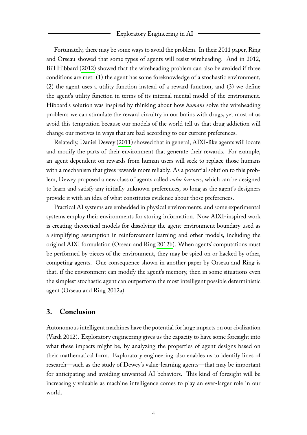#### Exploratory Engineering in AI

Fortunately, there may be some ways to avoid the problem. In their 2011 paper, Ring and Orseau showed that some types of agents will resist wireheading. And in 2012, Bill Hibbard [\(2012\)](#page-5-10) showed that the wireheading problem can also be avoided if three conditions are met: (1) the agent has some foreknowledge of a stochastic environment, (2) the agent uses a utility function instead of a reward function, and (3) we define the agent's utility function in terms of its internal mental model of the environment. Hibbard's solution was inspired by thinking about how *humans* solve the wireheading problem: we can stimulate the reward circuitry in our brains with drugs, yet most of us avoid this temptation because our models of the world tell us that drug addiction will change our motives in ways that are bad according to our current preferences.

Relatedly, Daniel Dewey [\(2011\)](#page-5-11) showed that in general, AIXI-like agents will locate and modify the parts of their environment that generate their rewards. For example, an agent dependent on rewards from human users will seek to replace those humans with a mechanism that gives rewards more reliably. As a potential solution to this problem, Dewey proposed a new class of agents called *value learners*, which can be designed to learn and satisfy any initially unknown preferences, so long as the agent's designers provide it with an idea of what constitutes evidence about those preferences.

Practical AI systems are embedded in physical environments, and some experimental systems employ their environments for storing information. Now AIXI-inspired work is creating theoretical models for dissolving the agent-environment boundary used as a simplifying assumption in reinforcement learning and other models, including the original AIXI formulation (Orseau and Ring [2012b\)](#page-5-12). When agents' computations must be performed by pieces of the environment, they may be spied on or hacked by other, competing agents. One consequence shown in another paper by Orseau and Ring is that, if the environment can modify the agent's memory, then in some situations even the simplest stochastic agent can outperform the most intelligent possible deterministic agent (Orseau and Ring [2012a\)](#page-5-13).

### **3. Conclusion**

Autonomous intelligent machines have the potential for large impacts on our civilization (Vardi [2012\)](#page-5-14). Exploratory engineering gives us the capacity to have some foresight into what these impacts might be, by analyzing the properties of agent designs based on their mathematical form. Exploratory engineering also enables us to identify lines of research—such as the study of Dewey's value-learning agents—that may be important for anticipating and avoiding unwanted AI behaviors. This kind of foresight will be increasingly valuable as machine intelligence comes to play an ever-larger role in our world.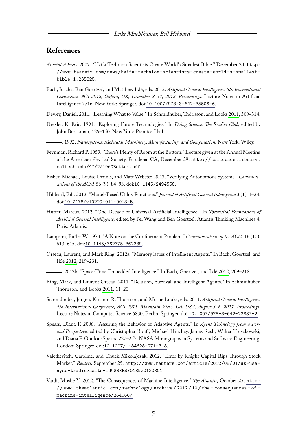## **References**

- <span id="page-5-5"></span>*Associated Press.* 2007. "Haifa Technion Scientists Create World's Smallest Bible." December 24. [http:](http://www.haaretz.com/news/haifa-technion-scientists-create-world-s-smallest-bible-1.235825) [//www.haaretz.com/news/haifa-technion-scientists-create-world-s-smallest](http://www.haaretz.com/news/haifa-technion-scientists-create-world-s-smallest-bible-1.235825)[bible-1.235825](http://www.haaretz.com/news/haifa-technion-scientists-create-world-s-smallest-bible-1.235825).
- <span id="page-5-16"></span>Bach, Joscha, Ben Goertzel, and Matthew Iklé, eds. 2012. *Artificial General Intelligence: 5th International Conference, AGI 2012, Oxford, UK, December 8–11, 2012. Proceedings.* Lecture Notes in Artificial Intelligence 7716. New York: Springer. doi:[10.1007/978-3-642-35506-6](http://dx.doi.org/10.1007/978-3-642-35506-6).
- <span id="page-5-11"></span>Dewey, Daniel. 2011. "Learning What to Value." In Schmidhuber, Thórisson, and Looks [2011,](#page-5-15) 309–314.
- <span id="page-5-3"></span>Drexler, K. Eric. 1991. "Exploring Future Technologies." In *Doing Science: The Reality Club,* edited by John Brockman, 129–150. New York: Prentice Hall.
	- . 1992. *Nanosystems: Molecular Machinery, Manufacturing, and Computation.* New York: Wiley.
- <span id="page-5-4"></span><span id="page-5-2"></span>Feynman, Richard P. 1959. "There's Plenty of Room at the Bottom." Lecture given at the Annual Meeting of the American Physical Society, Pasadena, CA, December 29. [http://calteches.library.](http://calteches.library.caltech.edu/47/2/1960Bottom.pdf) [caltech.edu/47/2/1960Bottom.pdf](http://calteches.library.caltech.edu/47/2/1960Bottom.pdf).
- <span id="page-5-8"></span>Fisher, Michael, Louise Dennis, and Matt Webster. 2013. "Verifying Autonomous Systems." *Communications of the ACM* 56 (9): 84–93. doi:[10.1145/2494558](http://dx.doi.org/10.1145/2494558).
- <span id="page-5-10"></span>Hibbard, Bill. 2012. "Model-Based Utility Functions." *Journal of Artificial General Intelligence* 3 (1): 1–24. doi:[10.2478/v10229-011-0013-5](http://dx.doi.org/10.2478/v10229-011-0013-5).
- <span id="page-5-7"></span>Hutter, Marcus. 2012. "One Decade of Universal Artificial Intelligence." In *Theoretical Foundations of Artificial General Intelligence,* edited by Pei Wang and Ben Goertzel. Atlantis Thinking Machines 4. Paris: Atlantis.
- <span id="page-5-6"></span>Lampson, Butler W. 1973. "A Note on the Confinement Problem." *Communications of the ACM* 16 (10): 613–615. doi:[10.1145/362375.362389](http://dx.doi.org/10.1145/362375.362389).
- <span id="page-5-13"></span>Orseau, Laurent, and Mark Ring. 2012a. "Memory issues of Intelligent Agents." In Bach, Goertzel, and Iklé [2012,](#page-5-16) 219–231.
	- . 2012b. "Space-Time Embedded Intelligence." In Bach, Goertzel, and Iklé [2012,](#page-5-16) 209–218.
- <span id="page-5-12"></span><span id="page-5-9"></span>Ring, Mark, and Laurent Orseau. 2011. "Delusion, Survival, and Intelligent Agents." In Schmidhuber, Thórisson, and Looks [2011,](#page-5-15) 11–20.
- <span id="page-5-15"></span>Schmidhuber, Jürgen, Kristinn R. Thórisson, and Moshe Looks, eds. 2011. *Artificial General Intelligence: 4th International Conference, AGI 2011, Mountain View, CA, USA, August 3–6, 2011. Proceedings.* Lecture Notes in Computer Science 6830. Berlin: Springer. doi:[10.1007/978-3-642-22887-2](http://dx.doi.org/10.1007/978-3-642-22887-2).
- <span id="page-5-1"></span>Spears, Diana F. 2006. "Assuring the Behavior of Adaptive Agents." In *Agent Technology from a Formal Perspective,* edited by Christopher Rouff, Michael Hinchey, James Rash, Walter Truszkowski, and Diana F. Gordon-Spears, 227–257. NASA Monographs in Systems and Software Engineering. London: Springer. doi:[10.1007/1-84628-271-3\\_8](http://dx.doi.org/10.1007/1-84628-271-3_8).
- <span id="page-5-0"></span>Valetkevitch, Caroline, and Chuck Mikolajczak. 2012. "Error by Knight Capital Rips Through Stock Market." *Reuters,* September 25. [http://www.reuters.com/article/2012/08/01/us-usa](http://www.reuters.com/article/2012/08/01/us-usa-nyse-tradinghalts-idUSBRE8701BN20120801)[nyse-tradinghalts-idUSBRE8701BN20120801](http://www.reuters.com/article/2012/08/01/us-usa-nyse-tradinghalts-idUSBRE8701BN20120801).
- <span id="page-5-14"></span>Vardi, Moshe Y. 2012. "The Consequences of Machine Intelligence." *The Atlantic,* October 25. [http:](http://www.theatlantic.com/technology/archive/2012/10/the-consequences-of-machine-intelligence/264066/) [/ / www . theatlantic . com / technology / archive / 2012 / 10 / the - consequences - of](http://www.theatlantic.com/technology/archive/2012/10/the-consequences-of-machine-intelligence/264066/)  [machine-intelligence/264066/](http://www.theatlantic.com/technology/archive/2012/10/the-consequences-of-machine-intelligence/264066/).